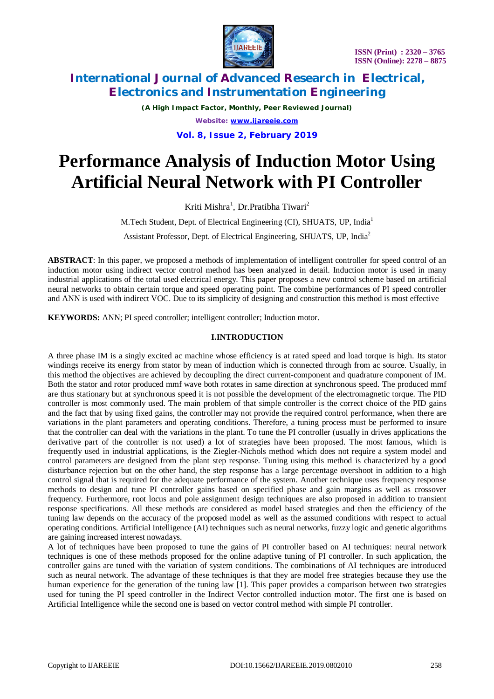

*(A High Impact Factor, Monthly, Peer Reviewed Journal) Website: [www.ijareeie.com](http://www.ijareeie.com)*

**Vol. 8, Issue 2, February 2019**

# **Performance Analysis of Induction Motor Using Artificial Neural Network with PI Controller**

Kriti Mishra<sup>1</sup>, Dr.Pratibha Tiwari<sup>2</sup>

M.Tech Student, Dept. of Electrical Engineering (CI), SHUATS, UP, India<sup>1</sup>

Assistant Professor, Dept. of Electrical Engineering, SHUATS, UP, India<sup>2</sup>

**ABSTRACT**: In this paper, we proposed a methods of implementation of intelligent controller for speed control of an induction motor using indirect vector control method has been analyzed in detail. Induction motor is used in many industrial applications of the total used electrical energy. This paper proposes a new control scheme based on artificial neural networks to obtain certain torque and speed operating point. The combine performances of PI speed controller and ANN is used with indirect VOC. Due to its simplicity of designing and construction this method is most effective

**KEYWORDS:** ANN; PI speed controller; intelligent controller; Induction motor.

### **I.INTRODUCTION**

A three phase IM is a singly excited ac machine whose efficiency is at rated speed and load torque is high. Its stator windings receive its energy from stator by mean of induction which is connected through from ac source. Usually, in this method the objectives are achieved by decoupling the direct current-component and quadrature component of IM. Both the stator and rotor produced mmf wave both rotates in same direction at synchronous speed. The produced mmf are thus stationary but at synchronous speed it is not possible the development of the electromagnetic torque. The PID controller is most commonly used. The main problem of that simple controller is the correct choice of the PID gains and the fact that by using fixed gains, the controller may not provide the required control performance, when there are variations in the plant parameters and operating conditions. Therefore, a tuning process must be performed to insure that the controller can deal with the variations in the plant. To tune the PI controller (usually in drives applications the derivative part of the controller is not used) a lot of strategies have been proposed. The most famous, which is frequently used in industrial applications, is the Ziegler-Nichols method which does not require a system model and control parameters are designed from the plant step response. Tuning using this method is characterized by a good disturbance rejection but on the other hand, the step response has a large percentage overshoot in addition to a high control signal that is required for the adequate performance of the system. Another technique uses frequency response methods to design and tune PI controller gains based on specified phase and gain margins as well as crossover frequency. Furthermore, root locus and pole assignment design techniques are also proposed in addition to transient response specifications. All these methods are considered as model based strategies and then the efficiency of the tuning law depends on the accuracy of the proposed model as well as the assumed conditions with respect to actual operating conditions. Artificial Intelligence (AI) techniques such as neural networks, fuzzy logic and genetic algorithms are gaining increased interest nowadays.

A lot of techniques have been proposed to tune the gains of PI controller based on AI techniques: neural network techniques is one of these methods proposed for the online adaptive tuning of PI controller. In such application, the controller gains are tuned with the variation of system conditions. The combinations of AI techniques are introduced such as neural network. The advantage of these techniques is that they are model free strategies because they use the human experience for the generation of the tuning law [1]. This paper provides a comparison between two strategies used for tuning the PI speed controller in the Indirect Vector controlled induction motor. The first one is based on Artificial Intelligence while the second one is based on vector control method with simple PI controller.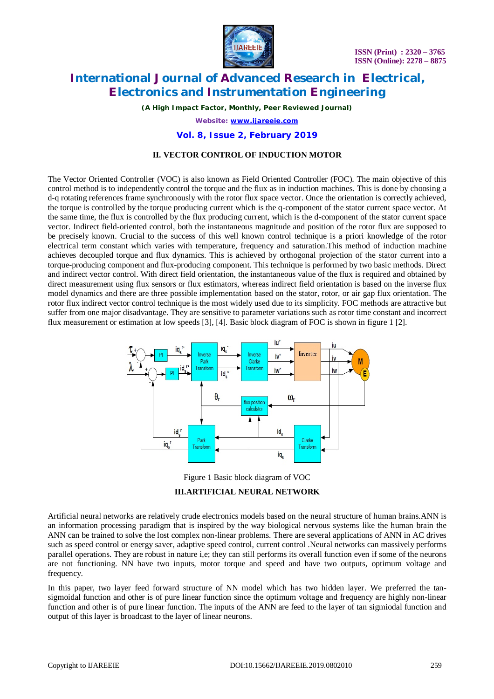

*(A High Impact Factor, Monthly, Peer Reviewed Journal)*

*Website: [www.ijareeie.com](http://www.ijareeie.com)*

#### **Vol. 8, Issue 2, February 2019**

### **II. VECTOR CONTROL OF INDUCTION MOTOR**

The Vector Oriented Controller (VOC) is also known as Field Oriented Controller (FOC). The main objective of this control method is to independently control the torque and the flux as in induction machines. This is done by choosing a d-q rotating references frame synchronously with the rotor flux space vector. Once the orientation is correctly achieved, the torque is controlled by the torque producing current which is the q-component of the stator current space vector. At the same time, the flux is controlled by the flux producing current, which is the d-component of the stator current space vector. Indirect field-oriented control, both the instantaneous magnitude and position of the rotor flux are supposed to be precisely known. Crucial to the success of this well known control technique is a priori knowledge of the rotor electrical term constant which varies with temperature, frequency and saturation.This method of induction machine achieves decoupled torque and flux dynamics. This is achieved by orthogonal projection of the stator current into a torque-producing component and flux-producing component. This technique is performed by two basic methods. Direct and indirect vector control. With direct field orientation, the instantaneous value of the flux is required and obtained by direct measurement using flux sensors or flux estimators, whereas indirect field orientation is based on the inverse flux model dynamics and there are three possible implementation based on the stator, rotor, or air gap flux orientation. The rotor flux indirect vector control technique is the most widely used due to its simplicity. FOC methods are attractive but suffer from one major disadvantage. They are sensitive to parameter variations such as rotor time constant and incorrect flux measurement or estimation at low speeds [3], [4]. Basic block diagram of FOC is shown in figure 1 [2].



Figure 1 Basic block diagram of VOC

#### **III.ARTIFICIAL NEURAL NETWORK**

Artificial neural networks are relatively crude electronics models based on the neural structure of human brains.ANN is an information processing paradigm that is inspired by the way biological nervous systems like the human brain the ANN can be trained to solve the lost complex non-linear problems. There are several applications of ANN in AC drives such as speed control or energy saver, adaptive speed control, current control .Neural networks can massively performs parallel operations. They are robust in nature i,e; they can still performs its overall function even if some of the neurons are not functioning. NN have two inputs, motor torque and speed and have two outputs, optimum voltage and frequency.

In this paper, two layer feed forward structure of NN model which has two hidden layer. We preferred the tansigmoidal function and other is of pure linear function since the optimum voltage and frequency are highly non-linear function and other is of pure linear function. The inputs of the ANN are feed to the layer of tan sigmiodal function and output of this layer is broadcast to the layer of linear neurons.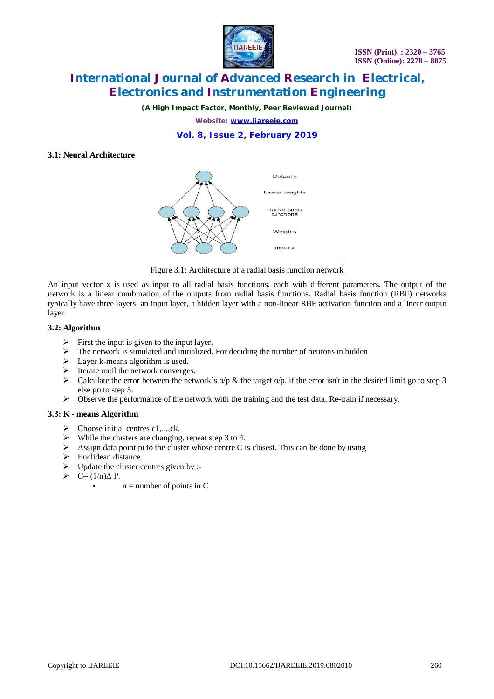

*(A High Impact Factor, Monthly, Peer Reviewed Journal)*

*Website: [www.ijareeie.com](http://www.ijareeie.com)*

**Vol. 8, Issue 2, February 2019**

### **3.1: Neural Architecture**



Figure 3.1: Architecture of a radial basis function network

An input vector x is used as input to all radial basis functions, each with different parameters. The output of the network is a linear combination of the outputs from radial basis functions. Radial basis function (RBF) networks typically have three layers: an input layer, a hidden layer with a non-linear RBF activation function and a linear output layer.

### **3.2: Algorithm**

- $\triangleright$  First the input is given to the input layer.
- $\triangleright$  The network is simulated and initialized. For deciding the number of neurons in hidden
- $\triangleright$  Layer k-means algorithm is used.
- $\triangleright$  Iterate until the network converges.
- $\triangleright$  Calculate the error between the network's o/p & the target o/p. if the error isn't in the desired limit go to step 3 else go to step 5.
- $\triangleright$  Observe the performance of the network with the training and the test data. Re-train if necessary.

### **3.3: K - means Algorithm**

- Choose initial centres c1,...,ck.
- $\triangleright$  While the clusters are changing, repeat step 3 to 4.
- $\triangleright$  Assign data point pi to the cluster whose centre C is closest. This can be done by using
- > Euclidean distance.
- $\triangleright$  Update the cluster centres given by :-
- $\triangleright$  C= (1/n) $\Delta$  P.
	- $\bullet$  n = number of points in C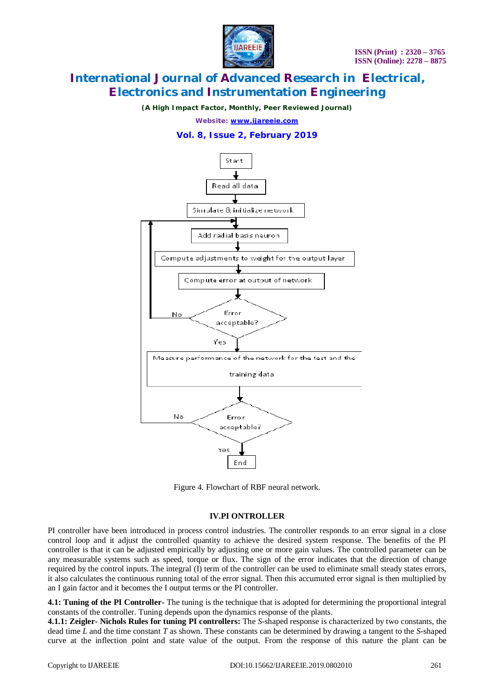*(A High Impact Factor, Monthly, Peer Reviewed Journal)*

*Website: [www.ijareeie.com](http://www.ijareeie.com)*

### **Vol. 8, Issue 2, February 2019**



Figure 4. Flowchart of RBF neural network.

### **IV.PI ONTROLLER**

PI controller have been introduced in process control industries. The controller responds to an error signal in a close control loop and it adjust the controlled quantity to achieve the desired system response. The benefits of the PI controller is that it can be adjusted empirically by adjusting one or more gain values. The controlled parameter can be any measurable systems such as speed, torque or flux. The sign of the error indicates that the direction of change required by the control inputs. The integral (I) term of the controller can be used to eliminate small steady states errors, it also calculates the continuous running total of the error signal. Then this accumuted error signal is then multiplied by an I gain factor and it becomes the I output terms or the PI controller.

**4.1: Tuning of the PI Controller-** The tuning is the technique that is adopted for determining the proportional integral constants of the controller. Tuning depends upon the dynamics response of the plants.

**4.1.1: Zeigler- Nichols Rules for tuning PI controllers:** The *S*-shaped response is characterized by two constants, the dead time *L* and the time constant *T* as shown. These constants can be determined by drawing a tangent to the *S*-shaped curve at the inflection point and state value of the output. From the response of this nature the plant can be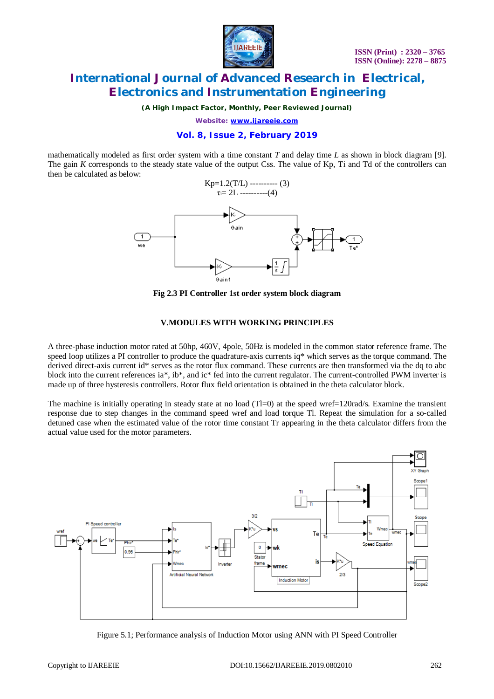

*(A High Impact Factor, Monthly, Peer Reviewed Journal)*

*Website: [www.ijareeie.com](http://www.ijareeie.com)*

### **Vol. 8, Issue 2, February 2019**

mathematically modeled as first order system with a time constant *T* and delay time *L* as shown in block diagram [9]. The gain *K* corresponds to the steady state value of the output Css. The value of Kp, Ti and Td of the controllers can then be calculated as below:



**Fig 2.3 PI Controller 1st order system block diagram**

### **V.MODULES WITH WORKING PRINCIPLES**

A three-phase induction motor rated at 50hp, 460V, 4pole, 50Hz is modeled in the common stator reference frame. The speed loop utilizes a PI controller to produce the quadrature-axis currents iq\* which serves as the torque command. The derived direct-axis current id\* serves as the rotor flux command. These currents are then transformed via the dq to abc block into the current references ia\*, ib\*, and ic\* fed into the current regulator. The current-controlled PWM inverter is made up of three hysteresis controllers. Rotor flux field orientation is obtained in the theta calculator block.

The machine is initially operating in steady state at no load (Tl=0) at the speed wref=120rad/s. Examine the transient response due to step changes in the command speed wref and load torque Tl. Repeat the simulation for a so-called detuned case when the estimated value of the rotor time constant Tr appearing in the theta calculator differs from the actual value used for the motor parameters.



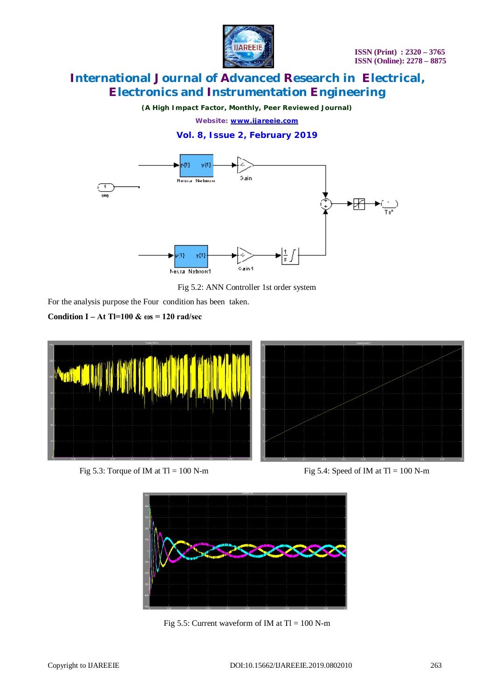

*(A High Impact Factor, Monthly, Peer Reviewed Journal)*

*Website: [www.ijareeie.com](http://www.ijareeie.com)*

**Vol. 8, Issue 2, February 2019**



Fig 5.2: ANN Controller 1st order system

For the analysis purpose the Four condition has been taken.

### **Condition I – At Tl=100 & ωs = 120 rad/sec**



Fig 5.3: Torque of IM at  $Tl = 100$  N-m Fig 5.4: Speed of IM at  $Tl = 100$  N-m





Fig 5.5: Current waveform of IM at  $TI = 100$  N-m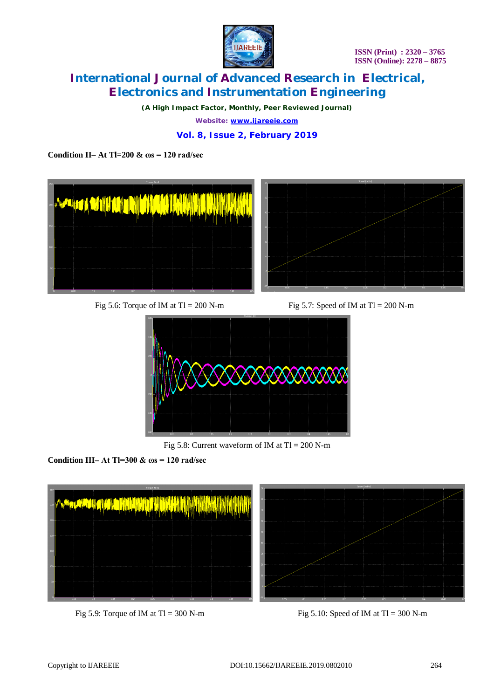

*(A High Impact Factor, Monthly, Peer Reviewed Journal)*

*Website: [www.ijareeie.com](http://www.ijareeie.com)*

**Vol. 8, Issue 2, February 2019**

**Condition II– At Tl=200 & ωs = 120 rad/sec**



Fig 5.6: Torque of IM at  $Tl = 200$  N-m Fig 5.7: Speed of IM at  $Tl = 200$  N-m



Fig 5.8: Current waveform of IM at Tl = 200 N-m

**Condition III– At Tl=300 & ωs = 120 rad/sec**



Fig 5.9: Torque of IM at  $Tl = 300$  N-m Fig 5.10: Speed of IM at  $Tl = 300$  N-m